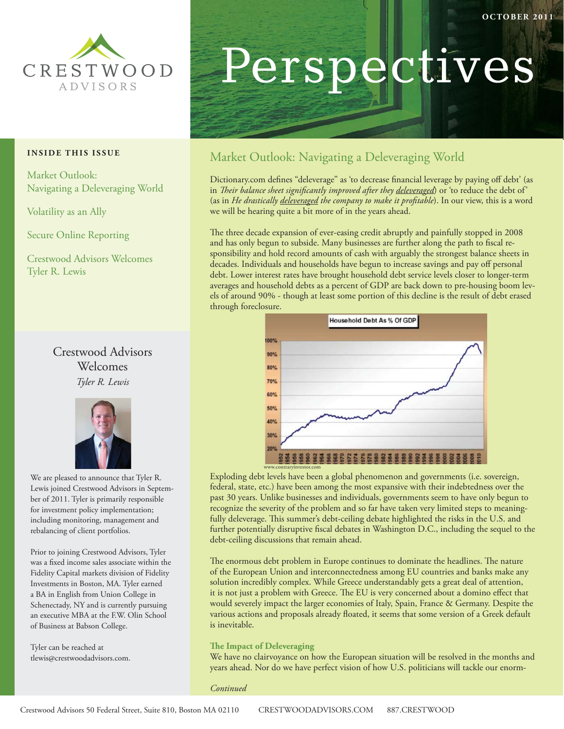

#### **INSIDE THIS ISSUE**

Market Outlook: Navigating a Deleveraging World

Volatility as an Ally

Secure Online Reporting

Crestwood Advisors Welcomes Tyler R. Lewis

## Crestwood Advisors Welcomes *Tyler R. Lewis*



We are pleased to announce that Tyler R. Lewis joined Crestwood Advisors in September of 2011. Tyler is primarily responsible for investment policy implementation; including monitoring, management and rebalancing of client portfolios.

Prior to joining Crestwood Advisors, Tyler was a fixed income sales associate within the Fidelity Capital markets division of Fidelity Investments in Boston, MA. Tyler earned a BA in English from Union College in Schenectady, NY and is currently pursuing an executive MBA at the F.W. Olin School of Business at Babson College.

Tyler can be reached at tlewis@crestwoodadvisors.com.

# Perspectives

## Market Outlook: Navigating a Deleveraging World

Dictionary.com defines "deleverage" as 'to decrease financial leverage by paying off debt' (as in *Their balance sheet significantly improved after they deleveraged*) or 'to reduce the debt of' (as in *He drastically <u>deleveraged</u> the company to make it profitable*). In our view, this is a word we will be hearing quite a bit more of in the years ahead.

The three decade expansion of ever-easing credit abruptly and painfully stopped in 2008 and has only begun to subside. Many businesses are further along the path to fiscal responsibility and hold record amounts of cash with arguably the strongest balance sheets in decades. Individuals and households have begun to increase savings and pay off personal debt. Lower interest rates have brought household debt service levels closer to longer-term averages and household debts as a percent of GDP are back down to pre-housing boom levels of around 90% - though at least some portion of this decline is the result of debt erased through foreclosure.



Exploding debt levels have been a global phenomenon and governments (i.e. sovereign, federal, state, etc.) have been among the most expansive with their indebtedness over the past 30 years. Unlike businesses and individuals, governments seem to have only begun to recognize the severity of the problem and so far have taken very limited steps to meaningfully deleverage. This summer's debt-ceiling debate highlighted the risks in the U.S. and further potentially disruptive fiscal debates in Washington D.C., including the sequel to the debt-ceiling discussions that remain ahead.

The enormous debt problem in Europe continues to dominate the headlines. The nature of the European Union and interconnectedness among EU countries and banks make any solution incredibly complex. While Greece understandably gets a great deal of attention, it is not just a problem with Greece. The EU is very concerned about a domino effect that would severely impact the larger economies of Italy, Spain, France & Germany. Despite the various actions and proposals already floated, it seems that some version of a Greek default is inevitable.

#### **The Impact of Deleveraging**

We have no clairvoyance on how the European situation will be resolved in the months and years ahead. Nor do we have perfect vision of how U.S. politicians will tackle our enorm-

*Continued*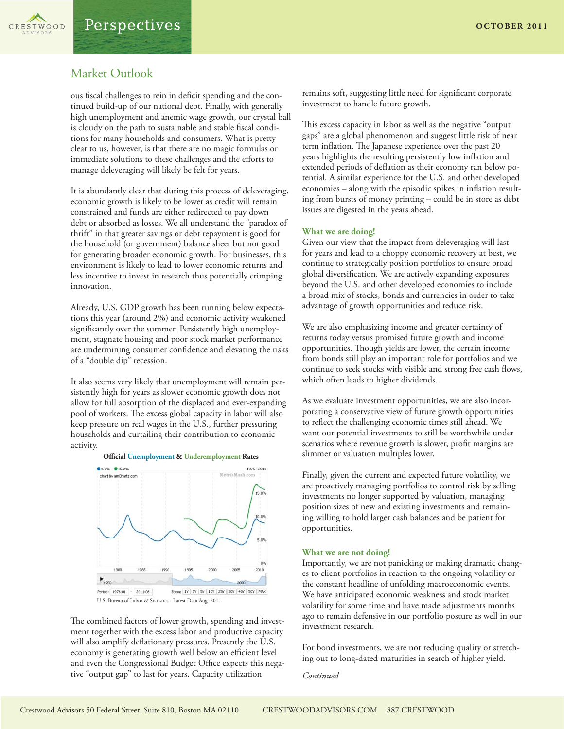CRESTWOOD

ous fiscal challenges to rein in deficit spending and the continued build-up of our national debt. Finally, with generally high unemployment and anemic wage growth, our crystal ball is cloudy on the path to sustainable and stable fiscal conditions for many households and consumers. What is pretty clear to us, however, is that there are no magic formulas or immediate solutions to these challenges and the efforts to manage deleveraging will likely be felt for years.

It is abundantly clear that during this process of deleveraging, economic growth is likely to be lower as credit will remain constrained and funds are either redirected to pay down debt or absorbed as losses. We all understand the "paradox of thrift" in that greater savings or debt repayment is good for the household (or government) balance sheet but not good for generating broader economic growth. For businesses, this environment is likely to lead to lower economic returns and less incentive to invest in research thus potentially crimping innovation.

Already, U.S. GDP growth has been running below expectations this year (around 2%) and economic activity weakened significantly over the summer. Persistently high unemployment, stagnate housing and poor stock market performance are undermining consumer confidence and elevating the risks of a "double dip" recession.

It also seems very likely that unemployment will remain persistently high for years as slower economic growth does not allow for full absorption of the displaced and ever-expanding pool of workers. The excess global capacity in labor will also keep pressure on real wages in the U.S., further pressuring households and curtailing their contribution to economic activity.



U.S. Bureau of Labor & Statistics - Latest Data Aug. 2011

The combined factors of lower growth, spending and investment together with the excess labor and productive capacity will also amplify deflationary pressures. Presently the U.S. economy is generating growth well below an efficient level and even the Congressional Budget Office expects this negative "output gap" to last for years. Capacity utilization

remains soft, suggesting little need for significant corporate investment to handle future growth.

This excess capacity in labor as well as the negative "output gaps" are a global phenomenon and suggest little risk of near term inflation. The Japanese experience over the past 20 years highlights the resulting persistently low inflation and extended periods of deflation as their economy ran below potential. A similar experience for the U.S. and other developed economies – along with the episodic spikes in inflation resulting from bursts of money printing – could be in store as debt issues are digested in the years ahead.

#### **What we are doing!**

Given our view that the impact from deleveraging will last for years and lead to a choppy economic recovery at best, we continue to strategically position portfolios to ensure broad global diversification. We are actively expanding exposures beyond the U.S. and other developed economies to include a broad mix of stocks, bonds and currencies in order to take advantage of growth opportunities and reduce risk.

We are also emphasizing income and greater certainty of returns today versus promised future growth and income opportunities. Though yields are lower, the certain income from bonds still play an important role for portfolios and we continue to seek stocks with visible and strong free cash flows, which often leads to higher dividends.

As we evaluate investment opportunities, we are also incorporating a conservative view of future growth opportunities to reflect the challenging economic times still ahead. We want our potential investments to still be worthwhile under scenarios where revenue growth is slower, profit margins are slimmer or valuation multiples lower.

Finally, given the current and expected future volatility, we are proactively managing portfolios to control risk by selling investments no longer supported by valuation, managing position sizes of new and existing investments and remaining willing to hold larger cash balances and be patient for opportunities.

#### **What we are not doing!**

Importantly, we are not panicking or making dramatic changes to client portfolios in reaction to the ongoing volatility or the constant headline of unfolding macroeconomic events. We have anticipated economic weakness and stock market volatility for some time and have made adjustments months ago to remain defensive in our portfolio posture as well in our investment research.

For bond investments, we are not reducing quality or stretching out to long-dated maturities in search of higher yield.

*Continued*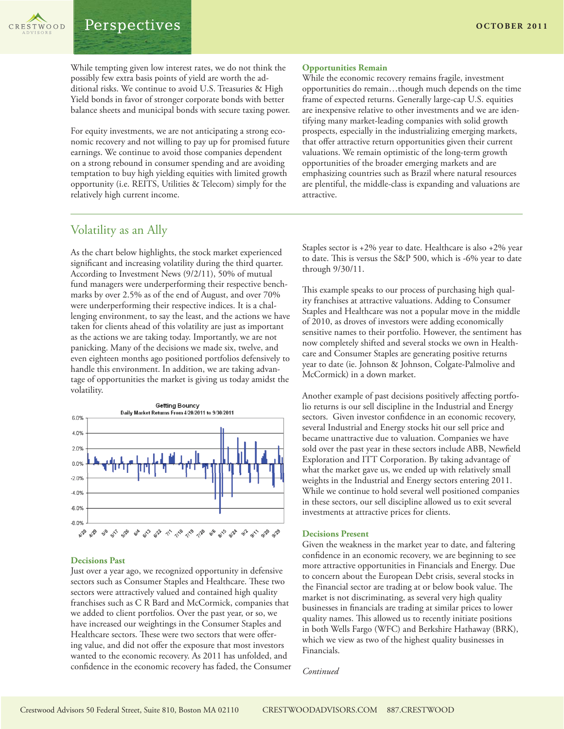

While tempting given low interest rates, we do not think the possibly few extra basis points of yield are worth the additional risks. We continue to avoid U.S. Treasuries & High Yield bonds in favor of stronger corporate bonds with better balance sheets and municipal bonds with secure taxing power.

For equity investments, we are not anticipating a strong economic recovery and not willing to pay up for promised future earnings. We continue to avoid those companies dependent on a strong rebound in consumer spending and are avoiding temptation to buy high yielding equities with limited growth opportunity (i.e. REITS, Utilities & Telecom) simply for the relatively high current income.

#### **Opportunities Remain**

While the economic recovery remains fragile, investment opportunities do remain…though much depends on the time frame of expected returns. Generally large-cap U.S. equities are inexpensive relative to other investments and we are identifying many market-leading companies with solid growth prospects, especially in the industrializing emerging markets, that offer attractive return opportunities given their current valuations. We remain optimistic of the long-term growth opportunities of the broader emerging markets and are emphasizing countries such as Brazil where natural resources are plentiful, the middle-class is expanding and valuations are attractive.

### Volatility as an Ally

As the chart below highlights, the stock market experienced significant and increasing volatility during the third quarter. According to Investment News (9/2/11), 50% of mutual fund managers were underperforming their respective benchmarks by over 2.5% as of the end of August, and over 70% were underperforming their respective indices. It is a challenging environment, to say the least, and the actions we have taken for clients ahead of this volatility are just as important as the actions we are taking today. Importantly, we are not panicking. Many of the decisions we made six, twelve, and even eighteen months ago positioned portfolios defensively to handle this environment. In addition, we are taking advantage of opportunities the market is giving us today amidst the volatility.



#### **Decisions Past**

Just over a year ago, we recognized opportunity in defensive sectors such as Consumer Staples and Healthcare. These two sectors were attractively valued and contained high quality franchises such as C R Bard and McCormick, companies that we added to client portfolios. Over the past year, or so, we have increased our weightings in the Consumer Staples and Healthcare sectors. These were two sectors that were offering value, and did not offer the exposure that most investors wanted to the economic recovery. As 2011 has unfolded, and confidence in the economic recovery has faded, the Consumer Staples sector is +2% year to date. Healthcare is also +2% year to date. This is versus the S&P 500, which is -6% year to date through 9/30/11.

This example speaks to our process of purchasing high quality franchises at attractive valuations. Adding to Consumer Staples and Healthcare was not a popular move in the middle of 2010, as droves of investors were adding economically sensitive names to their portfolio. However, the sentiment has now completely shifted and several stocks we own in Healthcare and Consumer Staples are generating positive returns year to date (ie. Johnson & Johnson, Colgate-Palmolive and McCormick) in a down market.

Another example of past decisions positively affecting portfolio returns is our sell discipline in the Industrial and Energy sectors. Given investor confidence in an economic recovery, several Industrial and Energy stocks hit our sell price and became unattractive due to valuation. Companies we have sold over the past year in these sectors include ABB, Newfield Exploration and ITT Corporation. By taking advantage of what the market gave us, we ended up with relatively small weights in the Industrial and Energy sectors entering 2011. While we continue to hold several well positioned companies in these sectors, our sell discipline allowed us to exit several investments at attractive prices for clients.

#### **Decisions Present**

Given the weakness in the market year to date, and faltering confidence in an economic recovery, we are beginning to see more attractive opportunities in Financials and Energy. Due to concern about the European Debt crisis, several stocks in the Financial sector are trading at or below book value. The market is not discriminating, as several very high quality businesses in financials are trading at similar prices to lower quality names. This allowed us to recently initiate positions in both Wells Fargo (WFC) and Berkshire Hathaway (BRK), which we view as two of the highest quality businesses in Financials.

*Continued*